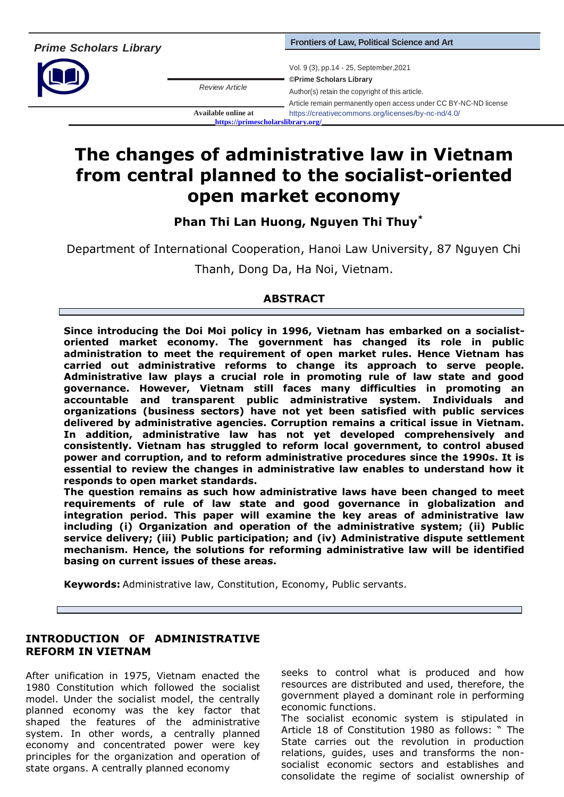

*Review Article*

Vol. 9 (3), pp.14 - 25, September,2021 **©Prime Scholars Library** Author(s) retain the copyright of this article. Article remain permanently open access under CC BY-NC-ND license **Available online at** https://creativecommons.org/licenses/by-nc-nd/4.0/ **<https://primescholarslibrary.org/>**

**The changes of administrative law in Vietnam from central planned to the socialist-oriented open market economy**

**Phan Thi Lan Huong, Nguyen Thi Thuy\***

Department of International Cooperation, Hanoi Law University, 87 Nguyen Chi

Thanh, Dong Da, Ha Noi, Vietnam.

# **ABSTRACT**

**Since introducing the Doi Moi policy in 1996, Vietnam has embarked on a socialistoriented market economy. The government has changed its role in public administration to meet the requirement of open market rules. Hence Vietnam has carried out administrative reforms to change its approach to serve people. Administrative law plays a crucial role in promoting rule of law state and good governance. However, Vietnam still faces many difficulties in promoting an accountable and transparent public administrative system. Individuals and organizations (business sectors) have not yet been satisfied with public services delivered by administrative agencies. Corruption remains a critical issue in Vietnam. In addition, administrative law has not yet developed comprehensively and consistently. Vietnam has struggled to reform local government, to control abused power and corruption, and to reform administrative procedures since the 1990s. It is essential to review the changes in administrative law enables to understand how it responds to open market standards.** 

**The question remains as such how administrative laws have been changed to meet requirements of rule of law state and good governance in globalization and integration period. This paper will examine the key areas of administrative law including (i) Organization and operation of the administrative system; (ii) Public service delivery; (iii) Public participation; and (iv) Administrative dispute settlement mechanism. Hence, the solutions for reforming administrative law will be identified basing on current issues of these areas.**

**Keywords:** Administrative law, Constitution, Economy, Public servants.

# **INTRODUCTION OF ADMINISTRATIVE REFORM IN VIETNAM**

After unification in 1975, Vietnam enacted the 1980 Constitution which followed the socialist model. Under the socialist model, the centrally planned economy was the key factor that shaped the features of the administrative system. In other words, a centrally planned economy and concentrated power were key principles for the organization and operation of state organs. A centrally planned economy

seeks to control what is produced and how resources are distributed and used, therefore, the government played a dominant role in performing economic functions.

The socialist economic system is stipulated in Article 18 of Constitution 1980 as follows: " The State carries out the revolution in production relations, guides, uses and transforms the nonsocialist economic sectors and establishes and consolidate the regime of socialist ownership of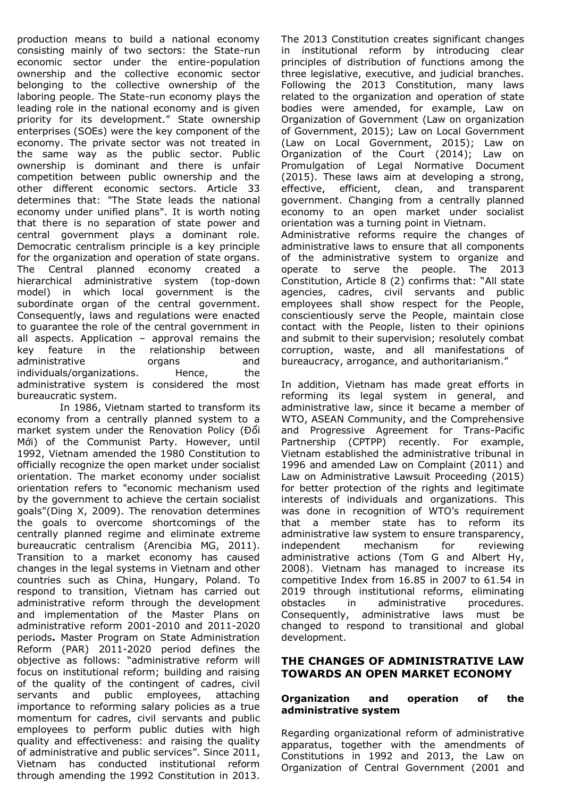production means to build a national economy consisting mainly of two sectors: the State-run economic sector under the entire-population ownership and the collective economic sector belonging to the collective ownership of the laboring people. The State-run economy plays the leading role in the national economy and is given priority for its development." State ownership enterprises (SOEs) were the key component of the economy. The private sector was not treated in the same way as the public sector. Public ownership is dominant and there is unfair competition between public ownership and the other different economic sectors. Article 33 determines that: "The State leads the national economy under unified plans". It is worth noting that there is no separation of state power and central government plays a dominant role. Democratic centralism principle is a key principle for the organization and operation of state organs. The Central planned economy created a hierarchical administrative system (top-down model) in which local government is the subordinate organ of the central government. Consequently, laws and regulations were enacted to guarantee the role of the central government in all aspects. Application – approval remains the key feature in the relationship between administrative organs and individuals/organizations. Hence, the administrative system is considered the most bureaucratic system.

In 1986, Vietnam started to transform its economy from a centrally planned system to a market system under the Renovation Policy (Đổi Mới) of the Communist Party. However, until 1992, Vietnam amended the 1980 Constitution to officially recognize the open market under socialist orientation. The market economy under socialist orientation refers to "economic mechanism used by the government to achieve the certain socialist goals"(Ding X, 2009). The renovation determines the goals to overcome shortcomings of the centrally planned regime and eliminate extreme bureaucratic centralism (Arencibia MG, 2011). Transition to a market economy has caused changes in the legal systems in Vietnam and other countries such as China, Hungary, Poland. To respond to transition, Vietnam has carried out administrative reform through the development and implementation of the Master Plans on administrative reform 2001-2010 and 2011-2020 periods**.** Master Program on State Administration Reform (PAR) 2011-2020 period defines the objective as follows: "administrative reform will focus on institutional reform; building and raising of the quality of the contingent of cadres, civil servants and public employees, attaching importance to reforming salary policies as a true momentum for cadres, civil servants and public employees to perform public duties with high quality and effectiveness: and raising the quality of administrative and public services". Since 2011, Vietnam has conducted institutional reform through amending the 1992 Constitution in 2013.

The 2013 Constitution creates significant changes in institutional reform by introducing clear principles of distribution of functions among the three legislative, executive, and judicial branches. Following the 2013 Constitution, many laws related to the organization and operation of state bodies were amended, for example, Law on Organization of Government (Law on organization of Government, 2015); Law on Local Government (Law on Local Government, 2015); Law on Organization of the Court (2014); Law on Promulgation of Legal Normative Document (2015). These laws aim at developing a strong, effective, efficient, clean, and transparent government. Changing from a centrally planned economy to an open market under socialist orientation was a turning point in Vietnam. Administrative reforms require the changes of administrative laws to ensure that all components of the administrative system to organize and operate to serve the people. The 2013 Constitution, Article 8 (2) confirms that: "All state agencies, cadres, civil servants and public employees shall show respect for the People, conscientiously serve the People, maintain close contact with the People, listen to their opinions

and submit to their supervision; resolutely combat corruption, waste, and all manifestations of bureaucracy, arrogance, and authoritarianism." In addition, Vietnam has made great efforts in reforming its legal system in general, and administrative law, since it became a member of WTO, ASEAN Community, and the Comprehensive and Progressive Agreement for Trans-Pacific Partnership (CPTPP) recently. For example, Vietnam established the administrative tribunal in

1996 and amended Law on Complaint (2011) and Law on Administrative Lawsuit Proceeding (2015) for better protection of the rights and legitimate interests of individuals and organizations. This was done in recognition of WTO's requirement that a member state has to reform its administrative law system to ensure transparency, independent mechanism for reviewing administrative actions (Tom G and Albert Hy, 2008). Vietnam has managed to increase its competitive Index from 16.85 in 2007 to 61.54 in 2019 through institutional reforms, eliminating obstacles in administrative procedures. Consequently, administrative laws must be changed to respond to transitional and global development.

# **THE CHANGES OF ADMINISTRATIVE LAW TOWARDS AN OPEN MARKET ECONOMY**

# **Organization and operation of the administrative system**

Regarding organizational reform of administrative apparatus, together with the amendments of Constitutions in 1992 and 2013, the Law on Organization of Central Government (2001 and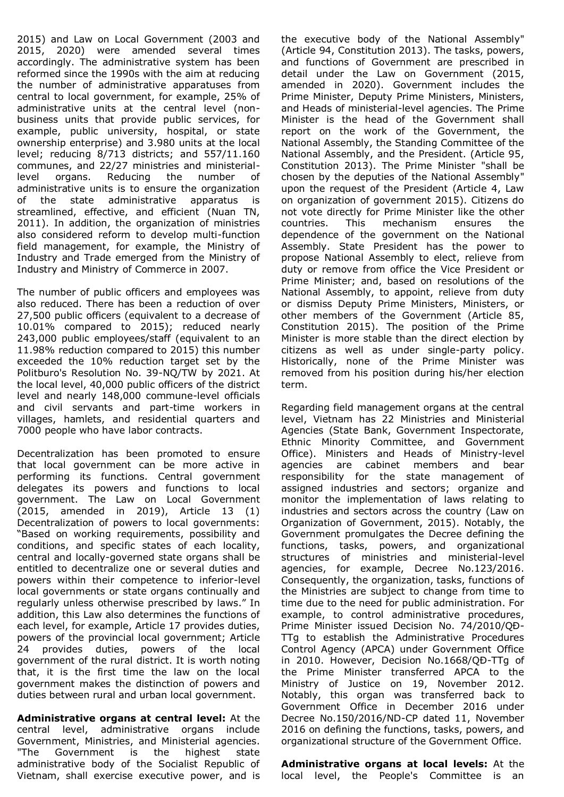2015) and Law on Local Government (2003 and 2015, 2020) were amended several times accordingly. The administrative system has been reformed since the 1990s with the aim at reducing the number of administrative apparatuses from central to local government, for example, 25% of administrative units at the central level (nonbusiness units that provide public services, for example, public university, hospital, or state ownership enterprise) and 3.980 units at the local level; reducing 8/713 districts; and 557/11.160 communes, and 22/27 ministries and ministeriallevel organs. Reducing the number of administrative units is to ensure the organization of the state administrative apparatus is streamlined, effective, and efficient (Nuan TN, 2011). In addition, the organization of ministries also considered reform to develop multi-function field management, for example, the Ministry of Industry and Trade emerged from the Ministry of Industry and Ministry of Commerce in 2007.

The number of public officers and employees was also reduced. There has been a reduction of over 27,500 public officers (equivalent to a decrease of 10.01% compared to 2015); reduced nearly 243,000 public employees/staff (equivalent to an 11.98% reduction compared to 2015) this number exceeded the 10% reduction target set by the Politburo's Resolution No. 39-NQ/TW by 2021. At the local level, 40,000 public officers of the district level and nearly 148,000 commune-level officials and civil servants and part-time workers in villages, hamlets, and residential quarters and 7000 people who have labor contracts.

Decentralization has been promoted to ensure that local government can be more active in performing its functions. Central government delegates its powers and functions to local government. The Law on Local Government (2015, amended in 2019), Article 13 (1) Decentralization of powers to local governments: "Based on working requirements, possibility and conditions, and specific states of each locality, central and locally-governed state organs shall be entitled to decentralize one or several duties and powers within their competence to inferior-level local governments or state organs continually and regularly unless otherwise prescribed by laws." In addition, this Law also determines the functions of each level, for example, Article 17 provides duties, powers of the provincial local government; Article 24 provides duties, powers of the local government of the rural district. It is worth noting that, it is the first time the law on the local government makes the distinction of powers and duties between rural and urban local government.

**Administrative organs at central level:** At the central level, administrative organs include Government, Ministries, and Ministerial agencies. "The Government is the highest state administrative body of the Socialist Republic of Vietnam, shall exercise executive power, and is the executive body of the National Assembly" (Article 94, Constitution 2013). The tasks, powers, and functions of Government are prescribed in detail under the Law on Government (2015, amended in 2020). Government includes the Prime Minister, Deputy Prime Ministers, Ministers, and Heads of ministerial-level agencies. The Prime Minister is the head of the Government shall report on the work of the Government, the National Assembly, the Standing Committee of the National Assembly, and the President. (Article 95, Constitution 2013). The Prime Minister "shall be chosen by the deputies of the National Assembly" upon the request of the President (Article 4, Law on organization of government 2015). Citizens do not vote directly for Prime Minister like the other countries. This mechanism ensures the dependence of the government on the National Assembly. State President has the power to propose National Assembly to elect, relieve from duty or remove from office the Vice President or Prime Minister; and, based on resolutions of the National Assembly, to appoint, relieve from duty or dismiss Deputy Prime Ministers, Ministers, or other members of the Government (Article 85, Constitution 2015). The position of the Prime Minister is more stable than the direct election by citizens as well as under single-party policy. Historically, none of the Prime Minister was removed from his position during his/her election term.

Regarding field management organs at the central level, Vietnam has 22 Ministries and Ministerial Agencies (State Bank, Government Inspectorate, Ethnic Minority Committee, and Government Office). Ministers and Heads of Ministry-level agencies are cabinet members and bear responsibility for the state management of assigned industries and sectors; organize and monitor the implementation of laws relating to industries and sectors across the country (Law on Organization of Government, 2015). Notably, the Government promulgates the Decree defining the functions, tasks, powers, and organizational structures of ministries and ministerial-level agencies, for example, Decree No.123/2016. Consequently, the organization, tasks, functions of the Ministries are subject to change from time to time due to the need for public administration. For example, to control administrative procedures, Prime Minister issued Decision No. 74/2010/QĐ-TTg to establish the Administrative Procedures Control Agency (APCA) under Government Office in 2010. However, Decision No.1668/QĐ-TTg of the Prime Minister transferred APCA to the Ministry of Justice on 19, November 2012. Notably, this organ was transferred back to Government Office in December 2016 under Decree No.150/2016/ND-CP dated 11, November 2016 on defining the functions, tasks, powers, and organizational structure of the Government Office.

**Administrative organs at local levels:** At the local level, the People's Committee is an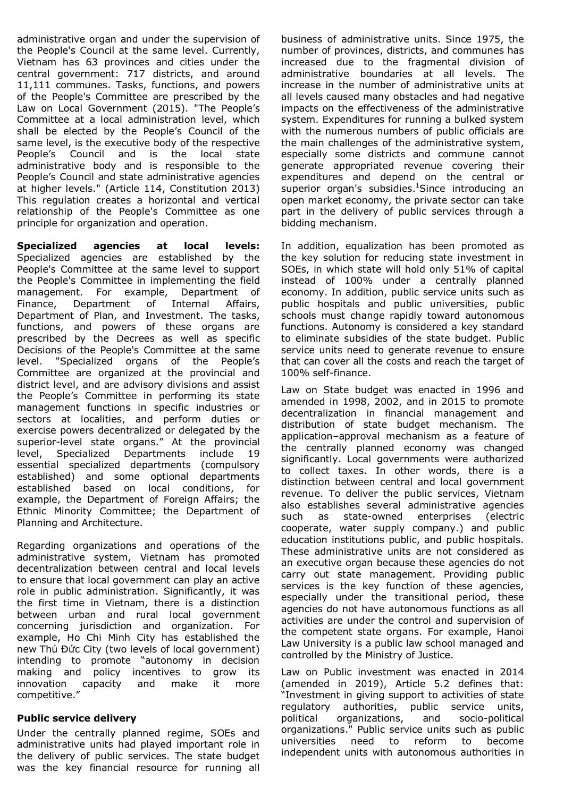administrative organ and under the supervision of the People's Council at the same level. Currently, Vietnam has 63 provinces and cities under the central government: 717 districts, and around 11,111 communes. Tasks, functions, and powers of the People's Committee are prescribed by the Law on Local Government (2015). "The People's Committee at a local administration level, which shall be elected by the People's Council of the same level, is the executive body of the respective People's Council and is the local state administrative body and is responsible to the People's Council and state administrative agencies at higher levels." (Article 114, Constitution 2013) This regulation creates a horizontal and vertical relationship of the People's Committee as one principle for organization and operation.

**Specialized agencies at local levels:**  Specialized agencies are established by the People's Committee at the same level to support the People's Committee in implementing the field management. For example, Department of Finance, Department of Internal Affairs, Department of Plan, and Investment. The tasks, functions, and powers of these organs are prescribed by the Decrees as well as specific Decisions of the People's Committee at the same level. "Specialized organs of the People's Committee are organized at the provincial and district level, and are advisory divisions and assist the People's Committee in performing its state management functions in specific industries or sectors at localities, and perform duties or exercise powers decentralized or delegated by the superior-level state organs." At the provincial level, Specialized Departments include 19 essential specialized departments (compulsory established) and some optional departments established based on local conditions, for example, the Department of Foreign Affairs; the Ethnic Minority Committee; the Department of Planning and Architecture.

Regarding organizations and operations of the administrative system, Vietnam has promoted decentralization between central and local levels to ensure that local government can play an active role in public administration. Significantly, it was the first time in Vietnam, there is a distinction between urban and rural local government concerning jurisdiction and organization. For example, Ho Chi Minh City has established the new Thủ Đức City (two levels of local government) intending to promote "autonomy in decision making and policy incentives to grow its innovation capacity and make it more competitive."

#### **Public service delivery**

Under the centrally planned regime, SOEs and administrative units had played important role in the delivery of public services. The state budget was the key financial resource for running all business of administrative units. Since 1975, the number of provinces, districts, and communes has increased due to the fragmental division of administrative boundaries at all levels. The increase in the number of administrative units at all levels caused many obstacles and had negative impacts on the effectiveness of the administrative system. Expenditures for running a bulked system with the numerous numbers of public officials are the main challenges of the administrative system, especially some districts and commune cannot generate appropriated revenue covering their expenditures and depend on the central or superior organ's subsidies.<sup>1</sup>Since introducing an open market economy, the private sector can take part in the delivery of public services through a bidding mechanism.

In addition, equalization has been promoted as the key solution for reducing state investment in SOEs, in which state will hold only 51% of capital instead of 100% under a centrally planned economy. In addition, public service units such as public hospitals and public universities, public schools must change rapidly toward autonomous functions. Autonomy is considered a key standard to eliminate subsidies of the state budget. Public service units need to generate revenue to ensure that can cover all the costs and reach the target of 100% self-finance.

Law on State budget was enacted in 1996 and amended in 1998, 2002, and in 2015 to promote decentralization in financial management and distribution of state budget mechanism. The application–approval mechanism as a feature of the centrally planned economy was changed significantly. Local governments were authorized to collect taxes. In other words, there is a distinction between central and local government revenue. To deliver the public services, Vietnam also establishes several administrative agencies such as state-owned enterprises (electric cooperate, water supply company.) and public education institutions public, and public hospitals. These administrative units are not considered as an executive organ because these agencies do not carry out state management. Providing public services is the key function of these agencies, especially under the transitional period, these agencies do not have autonomous functions as all activities are under the control and supervision of the competent state organs. For example, Hanoi Law University is a public law school managed and controlled by the Ministry of Justice.

Law on Public investment was enacted in 2014 (amended in 2019), Article 5.2 defines that: "Investment in giving support to activities of state regulatory authorities, public service units, political organizations, and socio-political organizations." Public service units such as public universities need to reform to become independent units with autonomous authorities in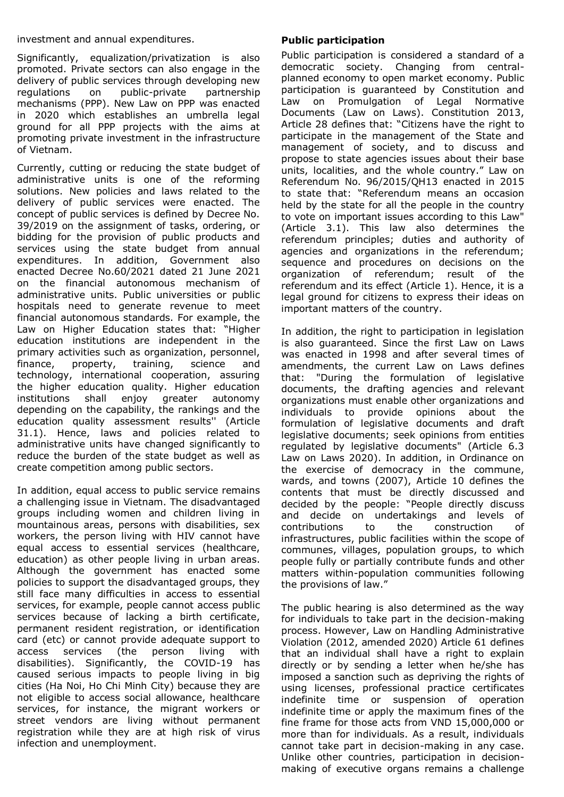investment and annual expenditures.

Significantly, equalization/privatization is also promoted. Private sectors can also engage in the delivery of public services through developing new regulations on public-private partnership mechanisms (PPP). New Law on PPP was enacted in 2020 which establishes an umbrella legal ground for all PPP projects with the aims at promoting private investment in the infrastructure of Vietnam.

Currently, cutting or reducing the state budget of administrative units is one of the reforming solutions. New policies and laws related to the delivery of public services were enacted. The concept of public services is defined by Decree No. 39/2019 on the assignment of tasks, ordering, or bidding for the provision of public products and services using the state budget from annual expenditures. In addition, Government also enacted Decree No.60/2021 dated 21 June 2021 on the financial autonomous mechanism of administrative units. Public universities or public hospitals need to generate revenue to meet financial autonomous standards. For example, the Law on Higher Education states that: "Higher education institutions are independent in the primary activities such as organization, personnel, finance, property, training, science and technology, international cooperation, assuring the higher education quality. Higher education institutions shall enjoy greater autonomy depending on the capability, the rankings and the education quality assessment results'' (Article 31.1). Hence, laws and policies related to administrative units have changed significantly to reduce the burden of the state budget as well as create competition among public sectors.

In addition, equal access to public service remains a challenging issue in Vietnam. The disadvantaged groups including women and children living in mountainous areas, persons with disabilities, sex workers, the person living with HIV cannot have equal access to essential services (healthcare, education) as other people living in urban areas. Although the government has enacted some policies to support the disadvantaged groups, they still face many difficulties in access to essential services, for example, people cannot access public services because of lacking a birth certificate, permanent resident registration, or identification card (etc) or cannot provide adequate support to access services (the person living with disabilities). Significantly, the COVID-19 has caused serious impacts to people living in big cities (Ha Noi, Ho Chi Minh City) because they are not eligible to access social allowance, healthcare services, for instance, the migrant workers or street vendors are living without permanent registration while they are at high risk of virus infection and unemployment.

# **Public participation**

Public participation is considered a standard of a democratic society. Changing from centralplanned economy to open market economy. Public participation is guaranteed by Constitution and Law on Promulgation of Legal Normative Documents (Law on Laws). Constitution 2013, Article 28 defines that: "Citizens have the right to participate in the management of the State and management of society, and to discuss and propose to state agencies issues about their base units, localities, and the whole country." Law on Referendum No. 96/2015/QH13 enacted in 2015 to state that: "Referendum means an occasion held by the state for all the people in the country to vote on important issues according to this Law" (Article 3.1). This law also determines the referendum principles; duties and authority of agencies and organizations in the referendum; sequence and procedures on decisions on the organization of referendum; result of the referendum and its effect (Article 1). Hence, it is a legal ground for citizens to express their ideas on important matters of the country.

In addition, the right to participation in legislation is also guaranteed. Since the first Law on Laws was enacted in 1998 and after several times of amendments, the current Law on Laws defines that: "During the formulation of legislative documents, the drafting agencies and relevant organizations must enable other organizations and individuals to provide opinions about the formulation of legislative documents and draft legislative documents; seek opinions from entities regulated by legislative documents" (Article 6.3 Law on Laws 2020). In addition, in Ordinance on the exercise of democracy in the commune, wards, and towns (2007), Article 10 defines the contents that must be directly discussed and decided by the people: "People directly discuss and decide on undertakings and levels of contributions to the construction of infrastructures, public facilities within the scope of communes, villages, population groups, to which people fully or partially contribute funds and other matters within-population communities following the provisions of law."

The public hearing is also determined as the way for individuals to take part in the decision-making process. However, Law on Handling Administrative Violation (2012, amended 2020) Article 61 defines that an individual shall have a right to explain directly or by sending a letter when he/she has imposed a sanction such as depriving the rights of using licenses, professional practice certificates indefinite time or suspension of operation indefinite time or apply the maximum fines of the fine frame for those acts from VND 15,000,000 or more than for individuals. As a result, individuals cannot take part in decision-making in any case. Unlike other countries, participation in decisionmaking of executive organs remains a challenge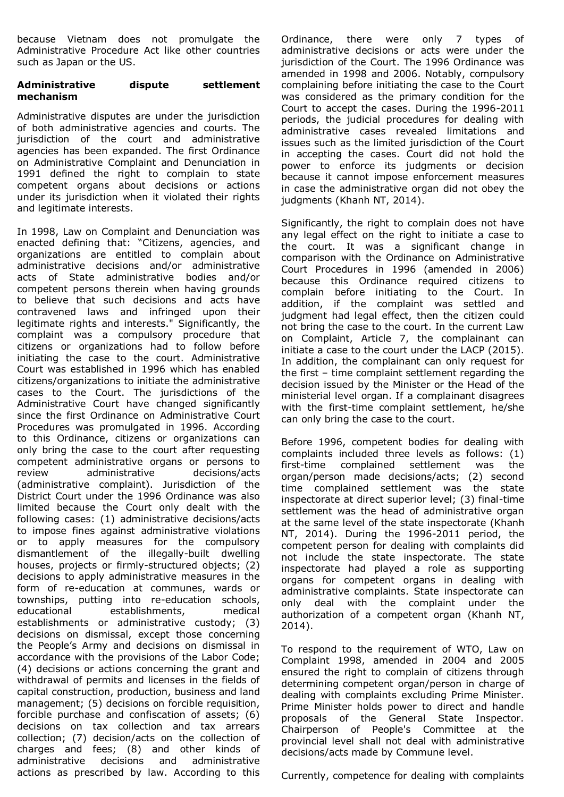because Vietnam does not promulgate the Administrative Procedure Act like other countries such as Japan or the US.

#### **Administrative dispute settlement mechanism**

Administrative disputes are under the jurisdiction of both administrative agencies and courts. The jurisdiction of the court and administrative agencies has been expanded. The first Ordinance on Administrative Complaint and Denunciation in 1991 defined the right to complain to state competent organs about decisions or actions under its jurisdiction when it violated their rights and legitimate interests.

In 1998, Law on Complaint and Denunciation was enacted defining that: "Citizens, agencies, and organizations are entitled to complain about administrative decisions and/or administrative acts of State administrative bodies and/or competent persons therein when having grounds to believe that such decisions and acts have contravened laws and infringed upon their legitimate rights and interests." Significantly, the complaint was a compulsory procedure that citizens or organizations had to follow before initiating the case to the court. Administrative Court was established in 1996 which has enabled citizens/organizations to initiate the administrative cases to the Court. The jurisdictions of the Administrative Court have changed significantly since the first Ordinance on Administrative Court Procedures was promulgated in 1996. According to this Ordinance, citizens or organizations can only bring the case to the court after requesting competent administrative organs or persons to review administrative decisions/acts (administrative complaint). Jurisdiction of the District Court under the 1996 Ordinance was also limited because the Court only dealt with the following cases: (1) administrative decisions/acts to impose fines against administrative violations or to apply measures for the compulsory dismantlement of the illegally-built dwelling houses, projects or firmly-structured objects; (2) decisions to apply administrative measures in the form of re-education at communes, wards or townships, putting into re-education schools, educational establishments, medical establishments or administrative custody; (3) decisions on dismissal, except those concerning the People's Army and decisions on dismissal in accordance with the provisions of the Labor Code; (4) decisions or actions concerning the grant and withdrawal of permits and licenses in the fields of capital construction, production, business and land management; (5) decisions on forcible requisition, forcible purchase and confiscation of assets; (6) decisions on tax collection and tax arrears collection; (7) decision/acts on the collection of charges and fees; (8) and other kinds of administrative decisions and administrative actions as prescribed by law. According to this

Ordinance, there were only 7 types of administrative decisions or acts were under the jurisdiction of the Court. The 1996 Ordinance was amended in 1998 and 2006. Notably, compulsory complaining before initiating the case to the Court was considered as the primary condition for the Court to accept the cases. During the 1996-2011 periods, the judicial procedures for dealing with administrative cases revealed limitations and issues such as the limited jurisdiction of the Court in accepting the cases. Court did not hold the power to enforce its judgments or decision because it cannot impose enforcement measures in case the administrative organ did not obey the judgments (Khanh NT, 2014).

Significantly, the right to complain does not have any legal effect on the right to initiate a case to the court. It was a significant change in comparison with the Ordinance on Administrative Court Procedures in 1996 (amended in 2006) because this Ordinance required citizens to complain before initiating to the Court. In addition, if the complaint was settled and judgment had legal effect, then the citizen could not bring the case to the court. In the current Law on Complaint, Article 7, the complainant can initiate a case to the court under the LACP (2015). In addition, the complainant can only request for the first – time complaint settlement regarding the decision issued by the Minister or the Head of the ministerial level organ. If a complainant disagrees with the first-time complaint settlement, he/she can only bring the case to the court.

Before 1996, competent bodies for dealing with complaints included three levels as follows: (1) first-time complained settlement was the organ/person made decisions/acts; (2) second time complained settlement was the state inspectorate at direct superior level; (3) final-time settlement was the head of administrative organ at the same level of the state inspectorate (Khanh NT, 2014). During the 1996-2011 period, the competent person for dealing with complaints did not include the state inspectorate. The state inspectorate had played a role as supporting organs for competent organs in dealing with administrative complaints. State inspectorate can only deal with the complaint under the authorization of a competent organ (Khanh NT, 2014).

To respond to the requirement of WTO, Law on Complaint 1998, amended in 2004 and 2005 ensured the right to complain of citizens through determining competent organ/person in charge of dealing with complaints excluding Prime Minister. Prime Minister holds power to direct and handle proposals of the General State Inspector. Chairperson of People's Committee at the provincial level shall not deal with administrative decisions/acts made by Commune level.

Currently, competence for dealing with complaints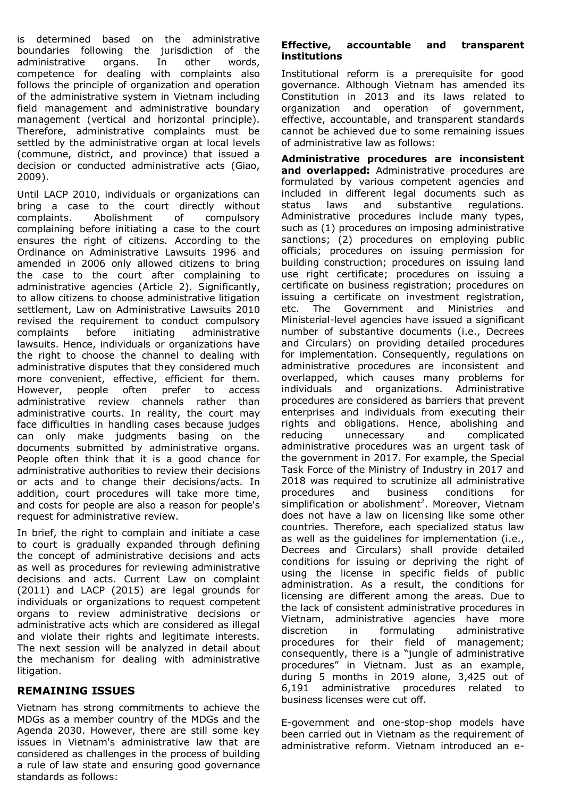is determined based on the administrative boundaries following the jurisdiction of the administrative organs. In other words, competence for dealing with complaints also follows the principle of organization and operation of the administrative system in Vietnam including field management and administrative boundary management (vertical and horizontal principle). Therefore, administrative complaints must be settled by the administrative organ at local levels (commune, district, and province) that issued a decision or conducted administrative acts (Giao, 2009).

Until LACP 2010, individuals or organizations can bring a case to the court directly without complaints. Abolishment of compulsory complaining before initiating a case to the court ensures the right of citizens. According to the Ordinance on Administrative Lawsuits 1996 and amended in 2006 only allowed citizens to bring the case to the court after complaining to administrative agencies (Article 2). Significantly, to allow citizens to choose administrative litigation settlement, Law on Administrative Lawsuits 2010 revised the requirement to conduct compulsory complaints before initiating administrative lawsuits. Hence, individuals or organizations have the right to choose the channel to dealing with administrative disputes that they considered much more convenient, effective, efficient for them. However, people often prefer to access administrative review channels rather than administrative courts. In reality, the court may face difficulties in handling cases because judges can only make judgments basing on the documents submitted by administrative organs. People often think that it is a good chance for administrative authorities to review their decisions or acts and to change their decisions/acts. In addition, court procedures will take more time, and costs for people are also a reason for people's request for administrative review.

In brief, the right to complain and initiate a case to court is gradually expanded through defining the concept of administrative decisions and acts as well as procedures for reviewing administrative decisions and acts. Current Law on complaint (2011) and LACP (2015) are legal grounds for individuals or organizations to request competent organs to review administrative decisions or administrative acts which are considered as illegal and violate their rights and legitimate interests. The next session will be analyzed in detail about the mechanism for dealing with administrative litigation.

# **REMAINING ISSUES**

Vietnam has strong commitments to achieve the MDGs as a member country of the MDGs and the Agenda 2030. However, there are still some key issues in Vietnam's administrative law that are considered as challenges in the process of building a rule of law state and ensuring good governance standards as follows:

## **Effective, accountable and transparent institutions**

Institutional reform is a prerequisite for good governance. Although Vietnam has amended its Constitution in 2013 and its laws related to organization and operation of government, effective, accountable, and transparent standards cannot be achieved due to some remaining issues of administrative law as follows:

**Administrative procedures are inconsistent and overlapped:** Administrative procedures are formulated by various competent agencies and included in different legal documents such as status laws and substantive regulations. Administrative procedures include many types, such as (1) procedures on imposing administrative sanctions; (2) procedures on employing public officials; procedures on issuing permission for building construction; procedures on issuing land use right certificate; procedures on issuing a certificate on business registration; procedures on issuing a certificate on investment registration, etc. The Government and Ministries and Ministerial-level agencies have issued a significant number of substantive documents (i.e., Decrees and Circulars) on providing detailed procedures for implementation. Consequently, regulations on administrative procedures are inconsistent and overlapped, which causes many problems for individuals and organizations. Administrative procedures are considered as barriers that prevent enterprises and individuals from executing their rights and obligations. Hence, abolishing and reducing unnecessary and complicated administrative procedures was an urgent task of the government in 2017. For example, the Special Task Force of the Ministry of Industry in 2017 and 2018 was required to scrutinize all administrative procedures and business conditions for simplification or abolishment<sup>2</sup>. Moreover, Vietnam does not have a law on licensing like some other countries. Therefore, each specialized status law as well as the guidelines for implementation (i.e., Decrees and Circulars) shall provide detailed conditions for issuing or depriving the right of using the license in specific fields of public administration. As a result, the conditions for licensing are different among the areas. Due to the lack of consistent administrative procedures in Vietnam, administrative agencies have more discretion in formulating administrative procedures for their field of management; consequently, there is a "jungle of administrative procedures" in Vietnam. Just as an example, during 5 months in 2019 alone, 3,425 out of 6,191 administrative procedures related to business licenses were cut off.

E-government and one-stop-shop models have been carried out in Vietnam as the requirement of administrative reform. Vietnam introduced an e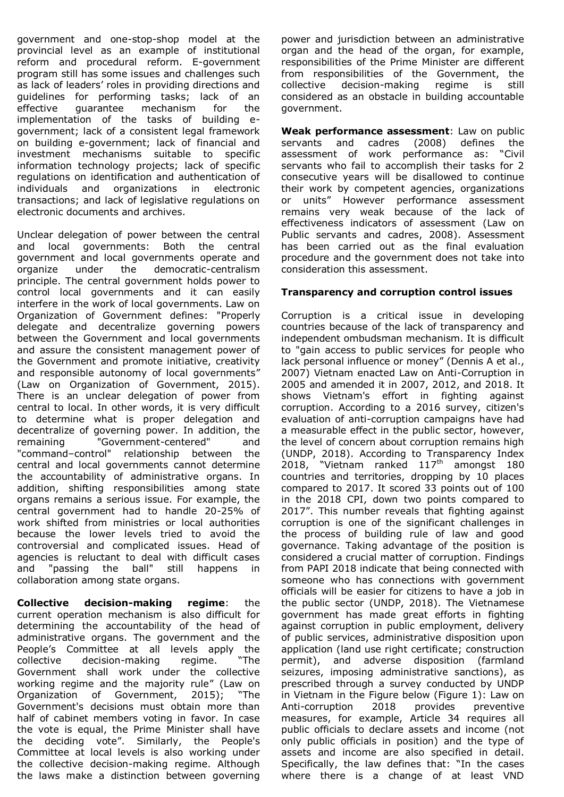government and one-stop-shop model at the provincial level as an example of institutional reform and procedural reform. E-government program still has some issues and challenges such as lack of leaders' roles in providing directions and guidelines for performing tasks; lack of an effective guarantee mechanism for the implementation of the tasks of building egovernment; lack of a consistent legal framework on building e-government; lack of financial and investment mechanisms suitable to specific information technology projects; lack of specific regulations on identification and authentication of individuals and organizations in electronic transactions; and lack of legislative regulations on electronic documents and archives.

Unclear delegation of power between the central and local governments: Both the central government and local governments operate and organize under the democratic-centralism principle. The central government holds power to control local governments and it can easily interfere in the work of local governments. Law on Organization of Government defines: "Properly delegate and decentralize governing powers between the Government and local governments and assure the consistent management power of the Government and promote initiative, creativity and responsible autonomy of local governments" (Law on Organization of Government, 2015). There is an unclear delegation of power from central to local. In other words, it is very difficult to determine what is proper delegation and decentralize of governing power. In addition, the remaining "Government-centered" and "command–control" relationship between the central and local governments cannot determine the accountability of administrative organs. In addition, shifting responsibilities among state organs remains a serious issue. For example, the central government had to handle 20-25% of work shifted from ministries or local authorities because the lower levels tried to avoid the controversial and complicated issues. Head of agencies is reluctant to deal with difficult cases and "passing the ball" still happens in collaboration among state organs.

**Collective decision-making regime**: the current operation mechanism is also difficult for determining the accountability of the head of administrative organs. The government and the People's Committee at all levels apply the collective decision-making regime. "The Government shall work under the collective working regime and the majority rule" (Law on<br>Organization of Government, 2015); "The Organization of Government, 2015); Government's decisions must obtain more than half of cabinet members voting in favor. In case the vote is equal, the Prime Minister shall have the deciding vote". Similarly, the People's Committee at local levels is also working under the collective decision-making regime. Although the laws make a distinction between governing

power and jurisdiction between an administrative organ and the head of the organ, for example, responsibilities of the Prime Minister are different from responsibilities of the Government, the collective decision-making regime is still considered as an obstacle in building accountable government.

**Weak performance assessment**: Law on public servants and cadres (2008) defines the assessment of work performance as: "Civil servants who fail to accomplish their tasks for 2 consecutive years will be disallowed to continue their work by competent agencies, organizations or units" However performance assessment remains very weak because of the lack of effectiveness indicators of assessment (Law on Public servants and cadres, 2008). Assessment has been carried out as the final evaluation procedure and the government does not take into consideration this assessment.

### **Transparency and corruption control issues**

Corruption is a critical issue in developing countries because of the lack of transparency and independent ombudsman mechanism. It is difficult to "gain access to public services for people who lack personal influence or money" (Dennis A et al., 2007) Vietnam enacted Law on Anti-Corruption in 2005 and amended it in 2007, 2012, and 2018. It shows Vietnam's effort in fighting against corruption. According to a 2016 survey, citizen's evaluation of anti-corruption campaigns have had a measurable effect in the public sector, however, the level of concern about corruption remains high (UNDP, 2018). According to Transparency Index 2018, "Vietnam ranked  $117<sup>th</sup>$  amongst 180 countries and territories, dropping by 10 places compared to 2017. It scored 33 points out of 100 in the 2018 CPI, down two points compared to 2017". This number reveals that fighting against corruption is one of the significant challenges in the process of building rule of law and good governance. Taking advantage of the position is considered a crucial matter of corruption. Findings from PAPI 2018 indicate that being connected with someone who has connections with government officials will be easier for citizens to have a job in the public sector (UNDP, 2018). The Vietnamese government has made great efforts in fighting against corruption in public employment, delivery of public services, administrative disposition upon application (land use right certificate; construction permit), and adverse disposition (farmland seizures, imposing administrative sanctions), as prescribed through a survey conducted by UNDP in Vietnam in the Figure below (Figure 1): Law on Anti-corruption 2018 provides preventive measures, for example, Article 34 requires all public officials to declare assets and income (not only public officials in position) and the type of assets and income are also specified in detail. Specifically, the law defines that: "In the cases where there is a change of at least VND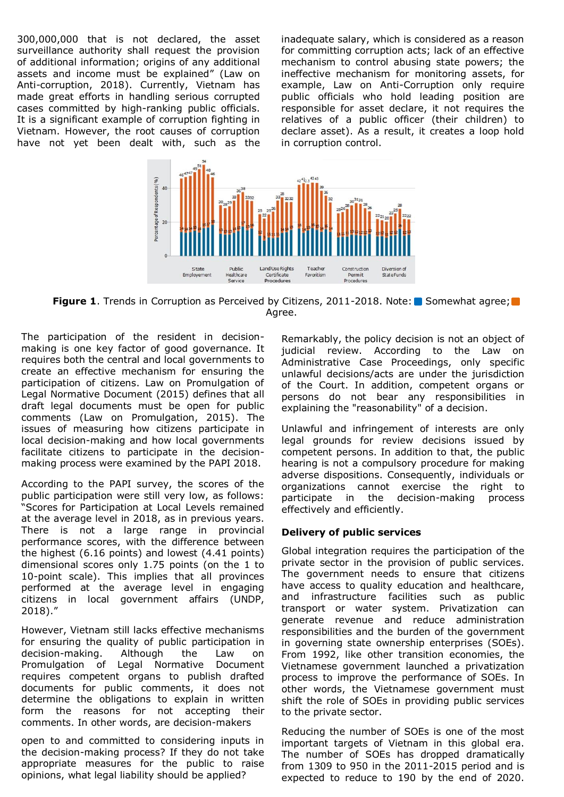300,000,000 that is not declared, the asset surveillance authority shall request the provision of additional information; origins of any additional assets and income must be explained" (Law on Anti-corruption, 2018). Currently, Vietnam has made great efforts in handling serious corrupted cases committed by high-ranking public officials. It is a significant example of corruption fighting in Vietnam. However, the root causes of corruption have not yet been dealt with, such as the

inadequate salary, which is considered as a reason for committing corruption acts; lack of an effective mechanism to control abusing state powers; the ineffective mechanism for monitoring assets, for example, Law on Anti-Corruption only require public officials who hold leading position are responsible for asset declare, it not requires the relatives of a public officer (their children) to declare asset). As a result, it creates a loop hold in corruption control.



**Figure 1.** Trends in Corruption as Perceived by Citizens, 2011-2018. Note: Somewhat agree; Agree.

The participation of the resident in decisionmaking is one key factor of good governance. It requires both the central and local governments to create an effective mechanism for ensuring the participation of citizens. Law on Promulgation of Legal Normative Document (2015) defines that all draft legal documents must be open for public comments (Law on Promulgation, 2015). The issues of measuring how citizens participate in local decision-making and how local governments facilitate citizens to participate in the decisionmaking process were examined by the PAPI 2018.

According to the PAPI survey, the scores of the public participation were still very low, as follows: "Scores for Participation at Local Levels remained at the average level in 2018, as in previous years. There is not a large range in provincial performance scores, with the difference between the highest (6.16 points) and lowest (4.41 points) dimensional scores only 1.75 points (on the 1 to 10-point scale). This implies that all provinces performed at the average level in engaging citizens in local government affairs (UNDP, 2018)."

However, Vietnam still lacks effective mechanisms for ensuring the quality of public participation in decision-making. Although the Law on Promulgation of Legal Normative Document requires competent organs to publish drafted documents for public comments, it does not determine the obligations to explain in written form the reasons for not accepting their comments. In other words, are decision-makers

open to and committed to considering inputs in the decision-making process? If they do not take appropriate measures for the public to raise opinions, what legal liability should be applied?

Remarkably, the policy decision is not an object of judicial review. According to the Law on Administrative Case Proceedings, only specific unlawful decisions/acts are under the jurisdiction of the Court. In addition, competent organs or persons do not bear any responsibilities in explaining the "reasonability" of a decision.

Unlawful and infringement of interests are only legal grounds for review decisions issued by competent persons. In addition to that, the public hearing is not a compulsory procedure for making adverse dispositions. Consequently, individuals or organizations cannot exercise the right to participate in the decision-making process effectively and efficiently.

#### **Delivery of public services**

Global integration requires the participation of the private sector in the provision of public services. The government needs to ensure that citizens have access to quality education and healthcare, and infrastructure facilities such as public transport or water system. Privatization can generate revenue and reduce administration responsibilities and the burden of the government in governing state ownership enterprises (SOEs). From 1992, like other transition economies, the Vietnamese government launched a privatization process to improve the performance of SOEs. In other words, the Vietnamese government must shift the role of SOEs in providing public services to the private sector.

Reducing the number of SOEs is one of the most important targets of Vietnam in this global era. The number of SOEs has dropped dramatically from 1309 to 950 in the 2011-2015 period and is expected to reduce to 190 by the end of 2020.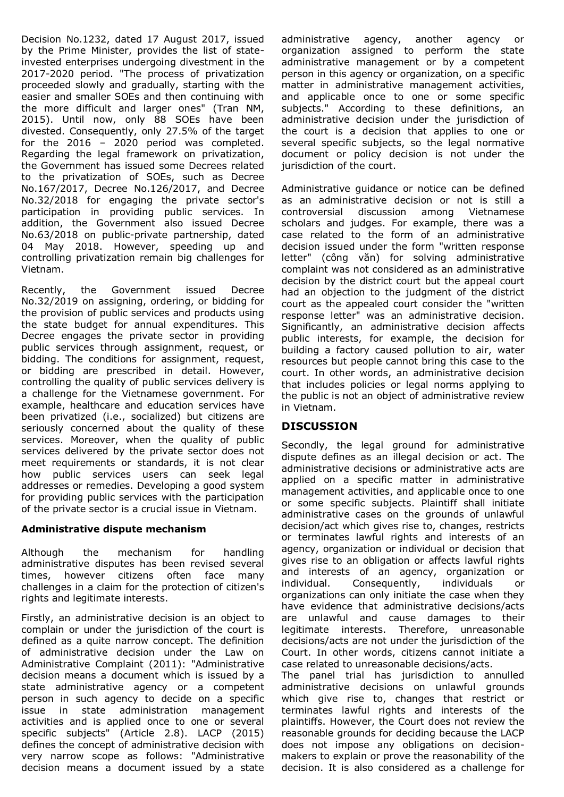Decision No.1232, dated 17 August 2017, issued by the Prime Minister, provides the list of stateinvested enterprises undergoing divestment in the 2017-2020 period. "The process of privatization proceeded slowly and gradually, starting with the easier and smaller SOEs and then continuing with the more difficult and larger ones" (Tran NM, 2015). Until now, only 88 SOEs have been divested. Consequently, only 27.5% of the target for the 2016 – 2020 period was completed. Regarding the legal framework on privatization, the Government has issued some Decrees related to the privatization of SOEs, such as Decree No.167/2017, Decree No.126/2017, and Decree No.32/2018 for engaging the private sector's participation in providing public services. In addition, the Government also issued Decree No.63/2018 on public-private partnership, dated 04 May 2018. However, speeding up and controlling privatization remain big challenges for Vietnam.

Recently, the Government issued Decree No.32/2019 on assigning, ordering, or bidding for the provision of public services and products using the state budget for annual expenditures. This Decree engages the private sector in providing public services through assignment, request, or bidding. The conditions for assignment, request, or bidding are prescribed in detail. However, controlling the quality of public services delivery is a challenge for the Vietnamese government. For example, healthcare and education services have been privatized (i.e., socialized) but citizens are seriously concerned about the quality of these services. Moreover, when the quality of public services delivered by the private sector does not meet requirements or standards, it is not clear how public services users can seek legal addresses or remedies. Developing a good system for providing public services with the participation of the private sector is a crucial issue in Vietnam.

# **Administrative dispute mechanism**

Although the mechanism for handling administrative disputes has been revised several times, however citizens often face many challenges in a claim for the protection of citizen's rights and legitimate interests.

Firstly, an administrative decision is an object to complain or under the jurisdiction of the court is defined as a quite narrow concept. The definition of administrative decision under the Law on Administrative Complaint (2011): "Administrative decision means a document which is issued by a state administrative agency or a competent person in such agency to decide on a specific issue in state administration management activities and is applied once to one or several specific subjects" (Article 2.8). LACP (2015) defines the concept of administrative decision with very narrow scope as follows: "Administrative decision means a document issued by a state

administrative agency, another agency or organization assigned to perform the state administrative management or by a competent person in this agency or organization, on a specific matter in administrative management activities, and applicable once to one or some specific subjects." According to these definitions, an administrative decision under the jurisdiction of the court is a decision that applies to one or several specific subjects, so the legal normative document or policy decision is not under the jurisdiction of the court.

Administrative guidance or notice can be defined as an administrative decision or not is still a controversial discussion among Vietnamese scholars and judges. For example, there was a case related to the form of an administrative decision issued under the form "written response letter" (công văn) for solving administrative complaint was not considered as an administrative decision by the district court but the appeal court had an objection to the judgment of the district court as the appealed court consider the "written response letter" was an administrative decision. Significantly, an administrative decision affects public interests, for example, the decision for building a factory caused pollution to air, water resources but people cannot bring this case to the court. In other words, an administrative decision that includes policies or legal norms applying to the public is not an object of administrative review in Vietnam.

# **DISCUSSION**

Secondly, the legal ground for administrative dispute defines as an illegal decision or act. The administrative decisions or administrative acts are applied on a specific matter in administrative management activities, and applicable once to one or some specific subjects. Plaintiff shall initiate administrative cases on the grounds of unlawful decision/act which gives rise to, changes, restricts or terminates lawful rights and interests of an agency, organization or individual or decision that gives rise to an obligation or affects lawful rights and interests of an agency, organization or individual. Consequently, individuals or organizations can only initiate the case when they have evidence that administrative decisions/acts are unlawful and cause damages to their legitimate interests. Therefore, unreasonable decisions/acts are not under the jurisdiction of the Court. In other words, citizens cannot initiate a case related to unreasonable decisions/acts.

The panel trial has jurisdiction to annulled administrative decisions on unlawful grounds which give rise to, changes that restrict or terminates lawful rights and interests of the plaintiffs. However, the Court does not review the reasonable grounds for deciding because the LACP does not impose any obligations on decisionmakers to explain or prove the reasonability of the decision. It is also considered as a challenge for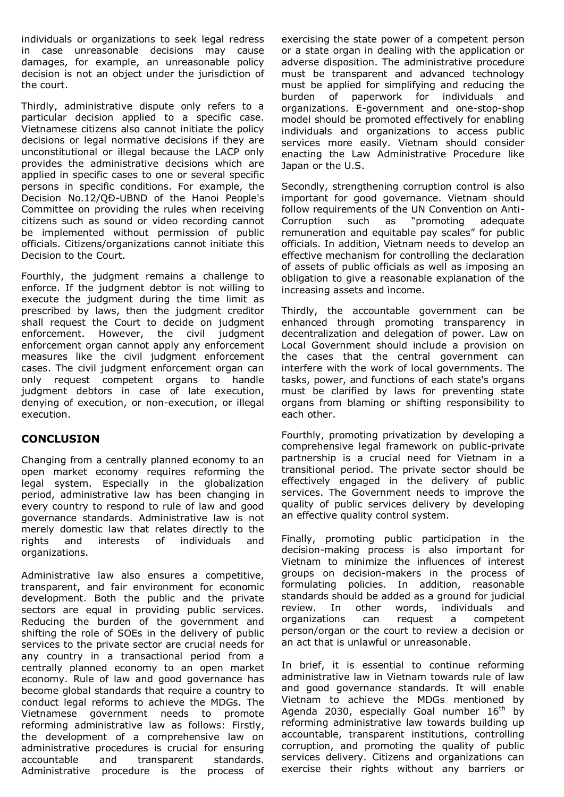individuals or organizations to seek legal redress in case unreasonable decisions may cause damages, for example, an unreasonable policy decision is not an object under the jurisdiction of the court.

Thirdly, administrative dispute only refers to a particular decision applied to a specific case. Vietnamese citizens also cannot initiate the policy decisions or legal normative decisions if they are unconstitutional or illegal because the LACP only provides the administrative decisions which are applied in specific cases to one or several specific persons in specific conditions. For example, the Decision No.12/QĐ-UBND of the Hanoi People's Committee on providing the rules when receiving citizens such as sound or video recording cannot be implemented without permission of public officials. Citizens/organizations cannot initiate this Decision to the Court.

Fourthly, the judgment remains a challenge to enforce. If the judgment debtor is not willing to execute the judgment during the time limit as prescribed by laws, then the judgment creditor shall request the Court to decide on judgment enforcement. However, the civil judgment enforcement organ cannot apply any enforcement measures like the civil judgment enforcement cases. The civil judgment enforcement organ can only request competent organs to handle judgment debtors in case of late execution, denying of execution, or non-execution, or illegal execution.

# **CONCLUSION**

Changing from a centrally planned economy to an open market economy requires reforming the legal system. Especially in the globalization period, administrative law has been changing in every country to respond to rule of law and good governance standards. Administrative law is not merely domestic law that relates directly to the rights and interests of individuals and organizations.

Administrative law also ensures a competitive, transparent, and fair environment for economic development. Both the public and the private sectors are equal in providing public services. Reducing the burden of the government and shifting the role of SOEs in the delivery of public services to the private sector are crucial needs for any country in a transactional period from a centrally planned economy to an open market economy. Rule of law and good governance has become global standards that require a country to conduct legal reforms to achieve the MDGs. The Vietnamese government needs to promote reforming administrative law as follows: Firstly, the development of a comprehensive law on administrative procedures is crucial for ensuring accountable and transparent standards. Administrative procedure is the process of

exercising the state power of a competent person or a state organ in dealing with the application or adverse disposition. The administrative procedure must be transparent and advanced technology must be applied for simplifying and reducing the burden of paperwork for individuals and organizations. E-government and one-stop-shop model should be promoted effectively for enabling individuals and organizations to access public services more easily. Vietnam should consider enacting the Law Administrative Procedure like Japan or the U.S.

Secondly, strengthening corruption control is also important for good governance. Vietnam should follow requirements of the UN Convention on Anti-Corruption such as "promoting adequate remuneration and equitable pay scales" for public officials. In addition, Vietnam needs to develop an effective mechanism for controlling the declaration of assets of public officials as well as imposing an obligation to give a reasonable explanation of the increasing assets and income.

Thirdly, the accountable government can be enhanced through promoting transparency in decentralization and delegation of power. Law on Local Government should include a provision on the cases that the central government can interfere with the work of local governments. The tasks, power, and functions of each state's organs must be clarified by laws for preventing state organs from blaming or shifting responsibility to each other.

Fourthly, promoting privatization by developing a comprehensive legal framework on public-private partnership is a crucial need for Vietnam in a transitional period. The private sector should be effectively engaged in the delivery of public services. The Government needs to improve the quality of public services delivery by developing an effective quality control system.

Finally, promoting public participation in the decision-making process is also important for Vietnam to minimize the influences of interest groups on decision-makers in the process of formulating policies. In addition, reasonable standards should be added as a ground for judicial review. In other words, individuals and organizations can request a competent person/organ or the court to review a decision or an act that is unlawful or unreasonable.

In brief, it is essential to continue reforming administrative law in Vietnam towards rule of law and good governance standards. It will enable Vietnam to achieve the MDGs mentioned by Agenda 2030, especially Goal number  $16<sup>th</sup>$  by reforming administrative law towards building up accountable, transparent institutions, controlling corruption, and promoting the quality of public services delivery. Citizens and organizations can exercise their rights without any barriers or